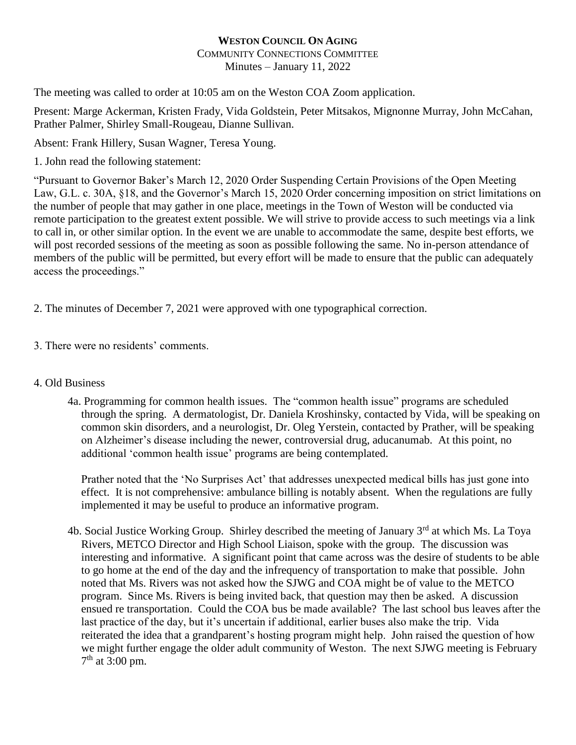## **WESTON COUNCIL ON AGING** COMMUNITY CONNECTIONS COMMITTEE Minutes – January 11, 2022

The meeting was called to order at 10:05 am on the Weston COA Zoom application.

Present: Marge Ackerman, Kristen Frady, Vida Goldstein, Peter Mitsakos, Mignonne Murray, John McCahan, Prather Palmer, Shirley Small-Rougeau, Dianne Sullivan.

Absent: Frank Hillery, Susan Wagner, Teresa Young.

1. John read the following statement:

"Pursuant to Governor Baker's March 12, 2020 Order Suspending Certain Provisions of the Open Meeting Law, G.L. c. 30A, §18, and the Governor's March 15, 2020 Order concerning imposition on strict limitations on the number of people that may gather in one place, meetings in the Town of Weston will be conducted via remote participation to the greatest extent possible. We will strive to provide access to such meetings via a link to call in, or other similar option. In the event we are unable to accommodate the same, despite best efforts, we will post recorded sessions of the meeting as soon as possible following the same. No in-person attendance of members of the public will be permitted, but every effort will be made to ensure that the public can adequately access the proceedings."

2. The minutes of December 7, 2021 were approved with one typographical correction.

3. There were no residents' comments.

## 4. Old Business

4a. Programming for common health issues. The "common health issue" programs are scheduled through the spring. A dermatologist, Dr. Daniela Kroshinsky, contacted by Vida, will be speaking on common skin disorders, and a neurologist, Dr. Oleg Yerstein, contacted by Prather, will be speaking on Alzheimer's disease including the newer, controversial drug, aducanumab. At this point, no additional 'common health issue' programs are being contemplated.

Prather noted that the 'No Surprises Act' that addresses unexpected medical bills has just gone into effect. It is not comprehensive: ambulance billing is notably absent. When the regulations are fully implemented it may be useful to produce an informative program.

4b. Social Justice Working Group. Shirley described the meeting of January 3<sup>rd</sup> at which Ms. La Tova Rivers, METCO Director and High School Liaison, spoke with the group. The discussion was interesting and informative. A significant point that came across was the desire of students to be able to go home at the end of the day and the infrequency of transportation to make that possible. John noted that Ms. Rivers was not asked how the SJWG and COA might be of value to the METCO program. Since Ms. Rivers is being invited back, that question may then be asked. A discussion ensued re transportation. Could the COA bus be made available? The last school bus leaves after the last practice of the day, but it's uncertain if additional, earlier buses also make the trip. Vida reiterated the idea that a grandparent's hosting program might help. John raised the question of how we might further engage the older adult community of Weston. The next SJWG meeting is February  $7<sup>th</sup>$  at 3:00 pm.